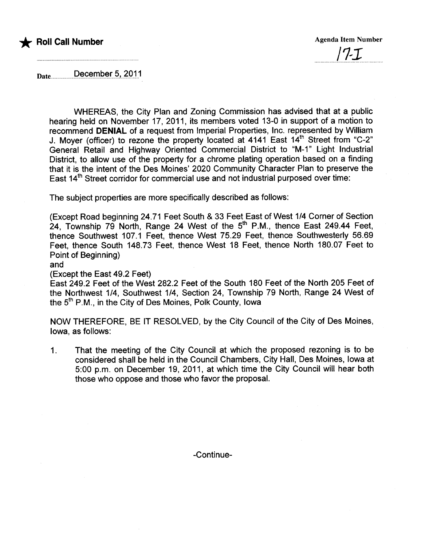

Date............December 5, 2011

WHEREAS, the City Plan and Zoning Commission has advised that at a public hearing held on November 17, 2011, its members voted 13-0 in support of a motion to recommend DENIAL of a request from Imperial Properties, Inc. represented by Willam J. Moyer (officer) to rezone the property located at 4141 East 14th Street from "C-2" General Retail and Highway Oriented Commercial District to "M-1" Light Industrial District, to allow use of the property for a chrome plating operation based on a finding that it is the intent of the Des Moines' 2020 Community Character Plan to preserve the East 14<sup>th</sup> Street corridor for commercial use and not industrial purposed over time:

The subject properties are more specifically described as follows:

(Except Road beginning 24.71 Feet South & 33 Feet East of West 1/4 Corner of Section  $24$ , Township 79 North, Range 24 West of the 5<sup>th</sup> P.M., thence East 249.44 Feet, thence Southwest 107.1 Feet, thence West 75.29 Feet, thence Southwesterly 56.69 Feet, thence South 148.73 Feet, thence West 18 Feet, thence North 180.07 Feet to Point of Beginning)

#### and

#### (Except the East 49.2 Feet)

East 249.2 Feet of the West 282.2 Feet of the South 180 Feet of the North 205 Feet of the Northwest 1/4, Southwest 1/4, Section 24, Township 79 North, Range 24 West of the 5th P.M., in the City of Des Moines, Polk County, Iowa

NOW THEREFORE, BE IT RESOLVED, by the City Council of the City of Des Moines, Iowa, as follows:

1. That the meeting of the City Council at which the proposed rezoning is to be considered shall be held in the Council Chambers, City Hall, Des Moines, Iowa at 5:00 p.m. on December 19, 2011, at which time the City Council will hear both those who oppose and those who favor the proposal.

-Continue-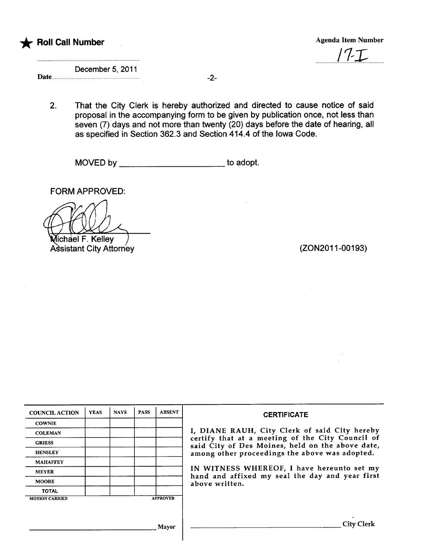

 $17-$ 

December 5, 2011 Date.......... -2-

2. That the City Clerk is hereby authorized and directed to cause notice of said proposal in the accompanying form to be given by publication once, not less than seven (7) days and not more than twenty (20) days before the date of hearing, all as specified in Section 362.3 and Section 414.4 of the Iowa Code.

MOVED by \_\_\_\_\_\_\_\_\_\_\_\_\_\_\_\_\_\_\_\_\_\_\_\_\_\_\_\_\_\_to adopt.

FORM APPROVED:

**Michael F. Kelley** Assistant City Attorney (2002011-00193)

| <b>COUNCIL ACTION</b> | <b>YEAS</b> | <b>NAYS</b> | <b>PASS</b> | <b>ABSENT</b>   | <b>CERTIFICATE</b>                                                                                   |  |  |  |
|-----------------------|-------------|-------------|-------------|-----------------|------------------------------------------------------------------------------------------------------|--|--|--|
| <b>COWNIE</b>         |             |             |             |                 |                                                                                                      |  |  |  |
| <b>COLEMAN</b>        |             |             |             |                 | I, DIANE RAUH, City Clerk of said City hereby                                                        |  |  |  |
| <b>GRIESS</b>         |             |             |             |                 | certify that at a meeting of the City Council of<br>said City of Des Moines, held on the above date, |  |  |  |
| <b>HENSLEY</b>        |             |             |             |                 | among other proceedings the above was adopted.                                                       |  |  |  |
| <b>MAHAFFEY</b>       |             |             |             |                 |                                                                                                      |  |  |  |
| <b>MEYER</b>          |             |             |             |                 | IN WITNESS WHEREOF, I have hereunto set my<br>hand and affixed my seal the day and year first        |  |  |  |
| <b>MOORE</b>          |             |             |             |                 | above written.                                                                                       |  |  |  |
| <b>TOTAL</b>          |             |             |             |                 |                                                                                                      |  |  |  |
| <b>MOTION CARRIED</b> |             |             |             | <b>APPROVED</b> |                                                                                                      |  |  |  |
|                       |             |             |             |                 |                                                                                                      |  |  |  |
|                       |             |             |             | Mayor           | <b>City Clerk</b>                                                                                    |  |  |  |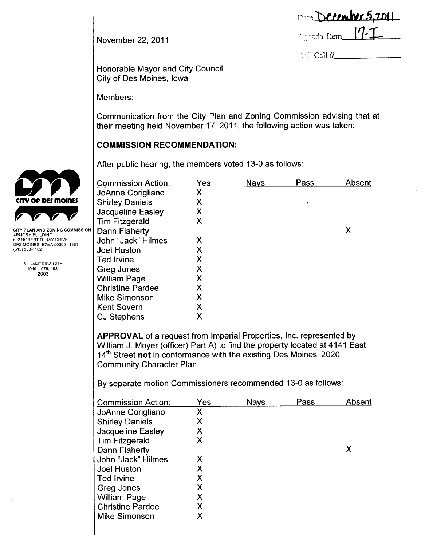| Date December 5,2011 |  |
|----------------------|--|
| Agenda Item 17-I     |  |

Cdl#

November 22,2011

Honorable Mayor and City Council City of Des Moines, Iowa

Members:

Communication from the City Plan and Zoning Commission advising that at their meeting held November 17, 2011, the following action was taken:

# **COMMISSION RECOMMENDATION:**

After public hearing, the members voted 13-0 as follows:

| <b>Commission Action:</b>                                                  | Yes | Nays | Pass | Absent |
|----------------------------------------------------------------------------|-----|------|------|--------|
| JoAnne Corigliano                                                          | Χ   |      |      |        |
| <b>Shirley Daniels</b>                                                     | Χ   |      |      |        |
| Jacqueline Easley                                                          | Χ   |      |      |        |
| <b>Tim Fitzgerald</b>                                                      | Χ   |      |      |        |
| Dann Flaherty                                                              |     |      |      | X      |
| John "Jack" Hilmes                                                         | Х   |      |      |        |
| <b>Joel Huston</b>                                                         | Χ   |      |      |        |
| <b>Ted Irvine</b>                                                          | Χ   |      |      |        |
| Greg Jones                                                                 | Χ   |      |      |        |
| <b>William Page</b>                                                        | Χ   |      |      |        |
| <b>Christine Pardee</b>                                                    | Χ   |      |      |        |
| Mike Simonson                                                              | Χ   |      |      |        |
| <b>Kent Sovern</b>                                                         | Χ   |      |      |        |
| <b>CJ Stephens</b>                                                         | Χ   |      |      |        |
|                                                                            |     |      |      |        |
| <b>APPROVAL</b> of a request from Imperial Properties, Inc. represented by |     |      |      |        |
|                                                                            |     |      |      |        |

William J. Moyer (officer) Part A) to find the property located at 4141 East 14<sup>th</sup> Street not in conformance with the existing Des Moines' 2020 Community Character Plan.

By separate motion Commissioners recommended 13-0 as follows:

| Commission Action:      | Yes | <b>Nays</b> | Pass | Absent |
|-------------------------|-----|-------------|------|--------|
| JoAnne Corigliano       | Х   |             |      |        |
| <b>Shirley Daniels</b>  | X   |             |      |        |
| Jacqueline Easley       | Х   |             |      |        |
| <b>Tim Fitzgerald</b>   | Χ   |             |      |        |
| Dann Flaherty           |     |             |      | Χ      |
| John "Jack" Hilmes      | Х   |             |      |        |
| Joel Huston             | Х   |             |      |        |
| Ted Irvine              | Χ   |             |      |        |
| Greg Jones              | X   |             |      |        |
| William Page            | X   |             |      |        |
| <b>Christine Pardee</b> | Х   |             |      |        |
| Mike Simonson           | Χ   |             |      |        |



ARMORY BUILDING 602 ROBERT D. RAY DRIVE DES MOINES, IOWA 50309 -1881 (515) 283-4182

> ALL-AMERICA CITY 1949,1976,1981 2003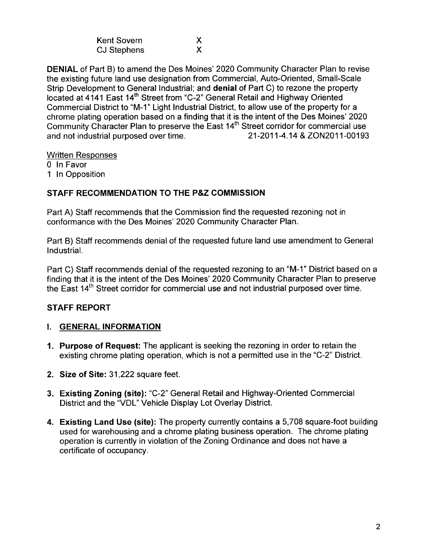| Kent Sovern        |  |
|--------------------|--|
| <b>CJ Stephens</b> |  |

DENIAL of Part B) to amend the Des Moines' 2020 Community Character Plan to revise the existing future land use designation from Commercial, Auto-Oriented, Small-Scale Strip Development to General Industrial; and denial of Part C) to rezone the property located at 4141 East 14th Street from "C-2" General Retail and Highway Oriented Commercial District to "M-1" Light Industrial District, to allow use of the property for a chrome plating operation based on a finding that it is the intent of the Des Moines' 2020 Community Character Plan to preserve the East 14<sup>th</sup> Street corridor for commercial use and not industrial purposed over time. 21-2011-4.14 & ZON2011-00193

x X

Written Responses

o In Favor

1 In Opposition

## STAFF RECOMMENDATION TO THE P&Z COMMISSION

Part A) Staff recommends that the Commission find the requested rezoning not in conformance with the Des Moines' 2020 Community Character Plan.

Part B) Staff recommends denial of the requested future land use amendment to General IndustriaL.

Part C) Staff recommends denial of the requested rezoning to an "M-1" District based on a finding that it is the intent of the Des Moines' 2020 Community Character Plan to preserve the East 14<sup>th</sup> Street corridor for commercial use and not industrial purposed over time.

## STAFF REPORT

## i. GENERAL INFORMATION

- 1. Purpose of Request: The applicant is seeking the rezoning in order to retain the existing chrome plating operation, which is not a permitted use in the "C-2" District.
- 2. Size of Site: 31,222 square feet.
- 3. Existing Zoning (site): "C-2" General Retail and Highway-Oriented Commercial District and the "VDL" Vehicle Display Lot Overlay District.
- 4. Existing Land Use (site): The property currently contains a 5,708 square-foot building used for warehousing and a chrome plating business operation. The chrome plating operation is currently in violation of the Zoning Ordinance and does not have a certificate of occupancy.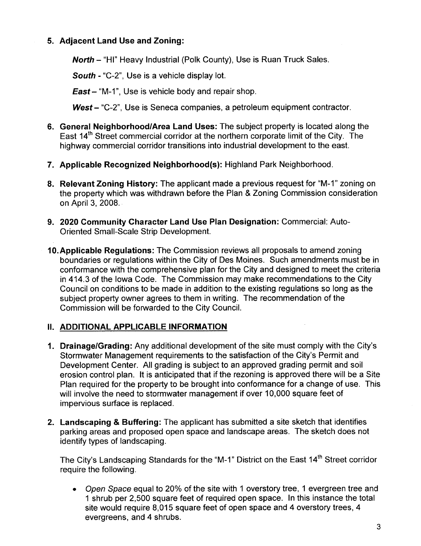## 5. Adjacent Land Use and Zoning:

North - "HI" Heavy Industrial (Polk County), Use is Ruan Truck Sales.

South - "C-2", Use is a vehicle display lot.

 $East - "M-1"$ , Use is vehicle body and repair shop.

West - "C-2", Use is Seneca companies, a petroleum equipment contractor.

- 6. General Neighborhood/Area Land Uses: The subject property is located along the East 14<sup>th</sup> Street commercial corridor at the northern corporate limit of the City. The highway commercial corridor transitions into industrial development to the east.
- 7. Applicable Recognized Neighborhood(s): Highland Park Neighborhood.
- 8. Relevant Zoning History: The applicant made a previous request for "M-1" zoning on the property which was withdrawn before the Plan & Zoning Commission consideration on April 3, 2008.
- 9. 2020 Community Character Land Use Plan Designation: Commercial: Auto-Oriented Small-Scale Strip Development.
- 10.Applicable Regulations: The Commission reviews all proposals to amend zoning boundaries or regulations within the City of Des Moines. Such amendments must be in conformance with the comprehensive plan for the City and designed to meet the criteria in 414.3 of the Iowa Code. The Commission may make recommendations to the City Council on conditions to be made in addition to the existing regulations so long as the subject property owner agrees to them in writing. The recommendation of the Commission will be forwarded to the City CounciL.

## II. ADDITIONAL APPLICABLE INFORMATION

- 1. Drainage/Grading: Any additional development of the site must comply with the City's Stormwater Management requirements to the satisfaction of the City's Permit and Development Center. All grading is subject to an approved grading permit and soil erosion control plan. It is anticipated that if the rezoning is approved there will be a Site Plan required for the property to be brought into conformance for a change of use. This will involve the need to stormwater management if over 10,000 square feet of impervious surface is replaced.
- 2. Landscaping & Buffering: The applicant has submitted a site sketch that identifies parking areas and proposed open space and landscape areas. The sketch does not identify types of landscaping.

The City's Landscaping Standards for the "M-1" District on the East 14<sup>th</sup> Street corridor require the following.

. Open Space equal to 20% of the site with 1 overstory tree, 1 evergreen tree and 1 shrub per 2,500 square feet of required open space. In this instance the total site would require 8,015 square feet of open space and 4 overstory trees, 4 evergreens, and 4 shrubs.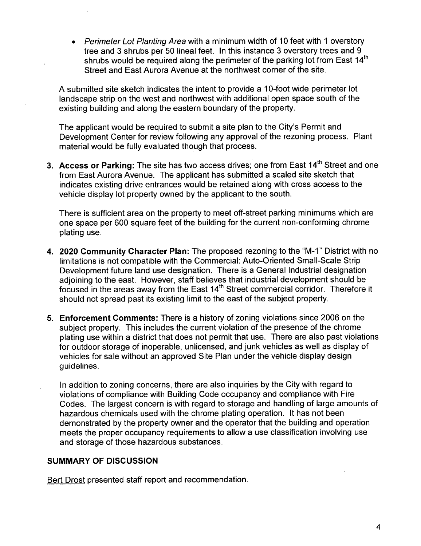. Perimeter Lot Planting Area with a minimum width of 10 feet with 1 overstory tree and 3 shrubs per 50 lineal feet. In this instance 3 overstory trees and 9 shrubs would be required along the perimeter of the parking lot from East 14<sup>th</sup> Street and East Aurora Avenue at the northwest corner of the site.

A submitted site sketch indicates the intent to provide a 10-foot wide perimeter lot landscape strip on the west and northwest with additional open space south of the existing building and along the eastern boundary of the property.

The applicant would be required to submit a site plan to the City's Permit and Development Center for review following any approval of the rezoning process. Plant material would be fully evaluated though that process.

3. Access or Parking: The site has two access drives; one from East 14<sup>th</sup> Street and one from East Aurora Avenue. The applicant has submitted a scaled site sketch that indicates existing drive entrances would be retained along with cross access to the vehicle display lot property owned by the applicant to the south.

There is sufficient area on the property to meet off-street parking minimums which are one space per 600 square feet of the building for the current non-conforming chrome plating use.

- 4. 2020 Community Character Plan: The proposed rezoning to the "M-1" District with no limitations is not compatible with the Commercial: Auto-Oriented Small-Scale Strip Development future land use designation. There is a General Industrial designation adjoining to the east. However, staff believes that industrial development should be focused in the areas away from the East 14<sup>th</sup> Street commercial corridor. Therefore it should not spread past its existing limit to the east of the subject property.
- 5. Enforcement Comments: There is a history of zoning violations since 2006 on the subject property. This includes the current violation of the presence of the chrome plating use within a district that does not permit that use. There are also past violations for outdoor storage of inoperable, unlicensed, and junk vehicles as well as display of vehicles for sale without an approved Site Plan under the vehicle display design guidelines.

In addition to zoning concerns, there are also inquiries by the City with regard to violations of compliance with Building Code occupancy and compliance with Fire Codes. The largest concern is with regard to storage and handling of large amounts of hazardous chemicals used with the chrome plating operation. It has not been demonstrated by the property owner and the operator that the building and operation meets the proper occupancy requirements to allow a use classification involving use and storage of those hazardous substances.

#### SUMMARY OF DISCUSSION

Bert Drost presented staff report and recommendation.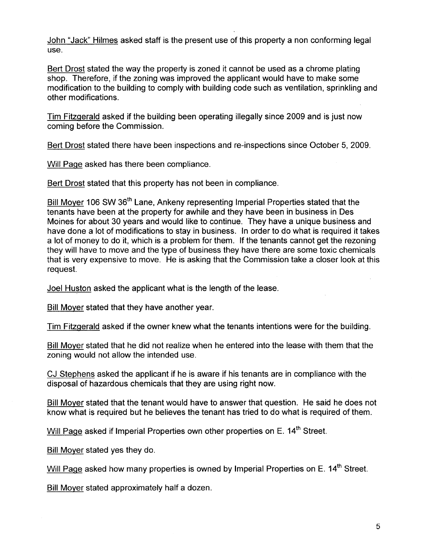John "Jack" Hilmes asked staff is the present use of this property a non conforming legal use.

Bert Drost stated the way the property is zoned it cannot be used as a chrome plating shop. Therefore, if the zoning was improved the applicant would have to make some modification to the building to comply with building code such as ventilation, sprinkling and other modifications.

Tim Fitzqerald asked if the building been operating illegally since 2009 and is just now coming before the Commission.

Bert Drost stated there have been inspections and re-inspections since October 5, 2009.

Will Paqe asked has there been compliance.

Bert Drost stated that this property has not been in compliance.

Bill Moyer 106 SW 36<sup>th</sup> Lane, Ankeny representing Imperial Properties stated that the tenants have been at the property for awhile and they have been in business in Des Moines for about 30 years and would like to continue. They have a unique business and have done a lot of modifications to stay in business. In order to do what is required it takes a lot of money to do it, which is a problem for them. If the tenants cannot get the rezoning they will have to move and the type of business they have there are some toxic chemicals that is very expensive to move. He is asking that the Commission take a closer look at this request.

Joel Huston asked the applicant what is the length of the lease.

Bill Mover stated that they have another year.

Tim Fitzqerald asked if the owner knew what the tenants intentions were for the building,

Bill Mover stated that he did not realize when he entered into the lease with them that the zoning would not allow the intended use,

CJ Stephens asked the applicant if he is aware if his tenants are in compliance with the disposal of hazardous chemicals that they are using right now.

Bill Mover stated that the tenant would have to answer that question. He said he does not know what is required but he believes the tenant has tried to do what is required of them.

Will Page asked if Imperial Properties own other properties on E. 14<sup>th</sup> Street.

Bill Mover stated yes they do.

Will Page asked how many properties is owned by Imperial Properties on E. 14<sup>th</sup> Street.

Bill Mover stated approximately half a dozen.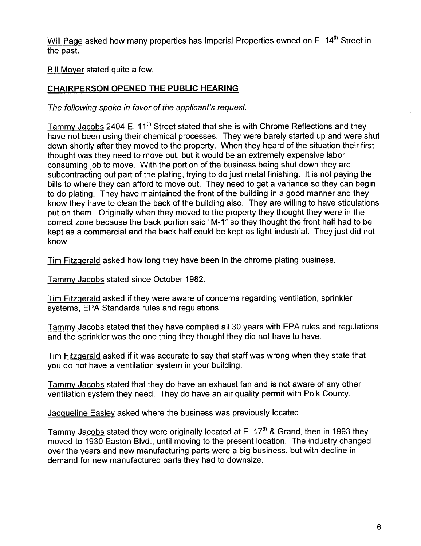Will Page asked how many properties has Imperial Properties owned on E. 14<sup>th</sup> Street in the past.

Bill Mover stated quite a few.

#### CHAIRPERSON OPENED THE PUBLIC HEARING

The following spoke in favor of the applicant's request.

Tammy Jacobs 2404 E. 11<sup>th</sup> Street stated that she is with Chrome Reflections and they have not been using their chemical processes. They were barely started up and were shut down shortly after they moved to the property. When they heard of the situation their first thought was they need to move out, but it would be an extremely expensive labor consuming job to move. With the portion of the business being shut down they are subcontracting out part of the plating, trying to do just metal finishing. It is not paying the bills to where they can afford to move out. They need to get a variance so they can begin to do plating. They have maintained the front of the building in a good manner and they know they have to clean the back of the building also. They are willing to have stipulations put on them. Originally when they moved to the property they thought they were in the correct zone because the back portion said "M-1" so they thought the front half had to be kept as a commercial and the back half could be kept as light industrial. They just did not know.

Tim Fitzqerald asked how long they have been in the chrome plating business.

Tammv Jacobs stated since October 1982.

Tim Fitzqerald asked if they were aware of concerns regarding ventilation, sprinkler systems, EPA Standards rules and regulations.

Tammv Jacobs stated that they have complied all 30 years with EPA rules and regulations and the sprinkler was the one thing they thought they did not have to have.

Tim Fitzqerald asked if it was accurate to say that staff was wrong when they state that you do not have a ventilation system in your building.

Tammv Jacobs stated that they do have an exhaust fan and is not aware of any other ventilation system they need. They do have an air quality permit with Polk County.

Jacqueline Easlev asked where the business was previously located.

Tammy Jacobs stated they were originally located at E.  $17<sup>th</sup>$  & Grand, then in 1993 they moved to 1930 Easton Blvd., until moving to the present location. The industry changed over the years and new manufacturing parts were a big business, but with decline in demand for new manufactured parts they had to downsize.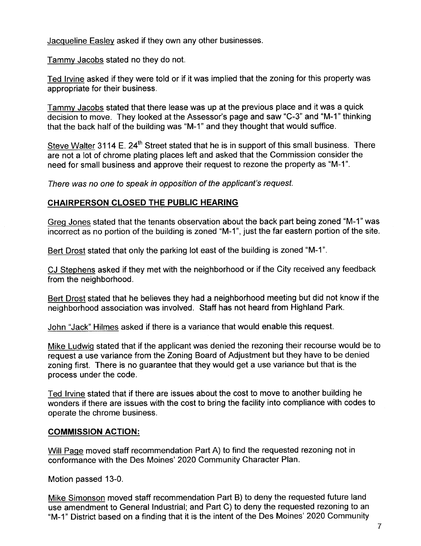Jacqueline Easlev asked if they own any other businesses.

Tammv Jacobs stated no they do not.

Ted Irvine asked if they were told or if it was implied that the zoning for this property was appropriate for their business.

Tammv Jacobs stated that there lease was up at the previous place and it was a quick decision to move. They looked at the Assessor's page and saw "C-3" and "M-1" thinking that the back half of the building was "M-1" and they thought that would suffice.

Steve Walter 3114 E. 24<sup>th</sup> Street stated that he is in support of this small business. There are not a lot of chrome plating places left and asked that the Commission consider the need for small business and approve their request to rezone the property as "M-1".

There was no one to speak in opposition of the applicant's request.

## CHAIRPERSON CLOSED THE PUBLIC HEARING

Greq Jones stated that the tenants observation about the back part being zoned "M-1" was incorrect as no portion of the building is zoned "M-1", just the far eastern portion of the site.

Bert Drost stated that only the parking lot east of the building is zoned "M-1".

CJ Stephens asked if they met with the neighborhood or if the City received any feedback from the neighborhood.

Bert Drost stated that he believes they had a neighborhood meeting but did not know if the neighborhood association was involved. Staff has not heard from Highland Park.

John "Jack" Hilmes asked if there is a variance that would enable this request.

Mike Ludwiq stated that if the applicant was denied the rezoning their recourse would be to request a use variance from the Zoning Board of Adjustment but they have to be denied zoning first. There is no guarantee that they would get a use variance but that is the process under the code.

Ted Irvine stated that if there are issues about the cost to move to another building he wonders if there are issues with the cost to bring the facility into compliance with codes to operate the chrome business.

## COMMISSION ACTION:

Will Page moved staff recommendation Part A) to find the requested rezoning not in conformance with the Des Moines' 2020 Community Character Plan.

Motion passed 13-0.

Mike Simonson moved staff recommendation Part B) to deny the requested future land use amendment to General Industrial; and Part C) to deny the requested rezoning to an "M-1" District based on a finding that it is the intent of the Des Moines' 2020 Community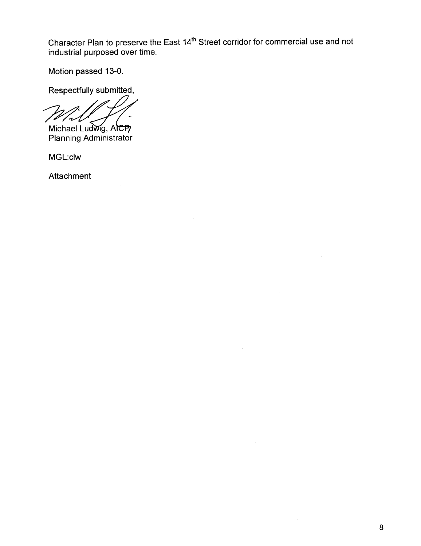Character Plan to preserve the East 14"' Street corridor for commercial use and not industrial purposed over time.

Motion passed 13-0.

Respectfully submitted,

 $\mathcal{A}$ 

Michael Ludwig, AlcP Planning Administrator

MGL:clw

Attachment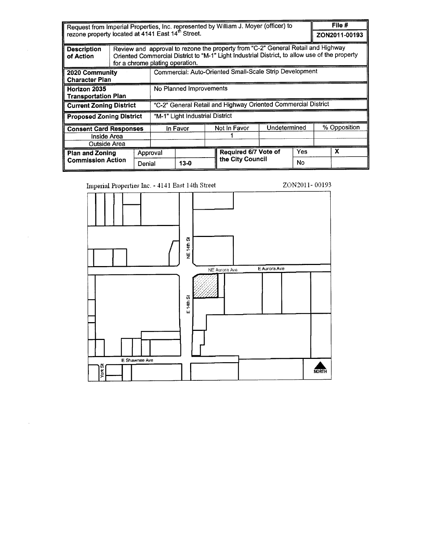Request from Imperial Properties, Inc. represented by William J. Moyer (officer) to rezone property located at 4141 East 14<sup>th</sup> Street. File # ZON2011-00193 Review and approval to rezone the property from "C-2" General Retail and Highway **Description** Oriented Commercial District to "M-1" Light Industrial District, to allow use of the property of Action for a chrome plating operation. Commercial: Auto-Oriented Small-Scale Strip Development 2020 Community **Character Plan** No Planned Improvements Horizon 2035 **Transportation Plan** "C-2" General Retail and Highway Oriented Commercial District **Current Zoning District** "M-1" Light Industrial District **Proposed Zoning District** Not In Favor **Undetermined** % Opposition **Consent Card Responses** In Favor 1 Inside Area Outside Area Required 6/7 Vote of Yes  $\overline{\mathbf{x}}$ **Plan and Zoning** Approval the City Council **Commission Action No** Denial  $13 - 0$ 

Imperial Properties Inc. - 4141 East 14th Street



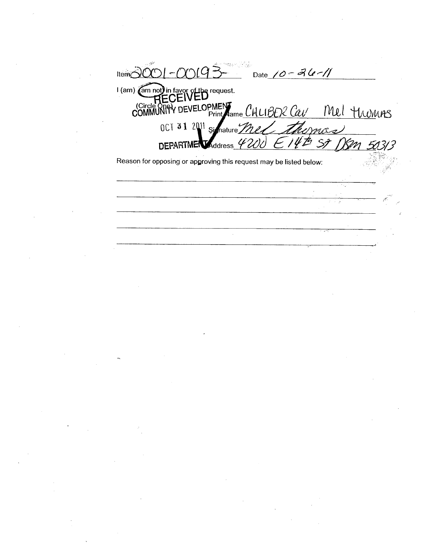Item $\overrightarrow{O}$ Date 10 - 26 - 11 I (am) (am not) in favor of the request. COMMUNITY DEVELOPMENT CHLIBER Cav Mel TWMMAS themas OCT 31 2011 Si  $\mathscr{I}_t$  $^{\prime\prime}$  p Nam  $57$  $-142$ **DEPARTMEN** Address Reason for opposing or approving this request may be listed below:  $\bar{\mathcal{A}}$